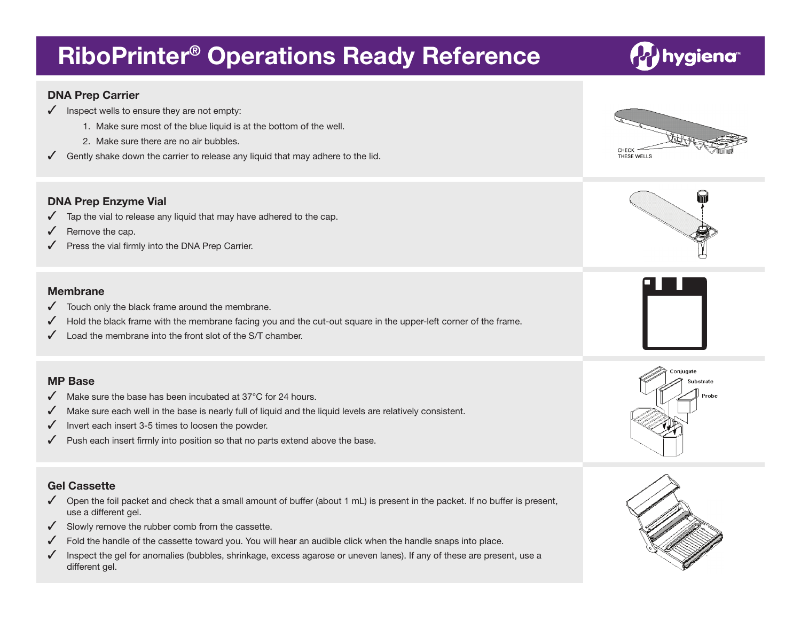# **RiboPrinter® Operations Ready Reference**

#### **DNA Prep Carrier**

- $\sqrt{\phantom{a}}$  Inspect wells to ensure they are not empty:
	- 1. Make sure most of the blue liquid is at the bottom of the well.
	- 2. Make sure there are no air bubbles.
- $\checkmark$  Gently shake down the carrier to release any liquid that may adhere to the lid.

### **DNA Prep Enzyme Vial**

- $\sqrt{ }$  Tap the vial to release any liquid that may have adhered to the cap.
- $\sqrt{\phantom{a}}$  Remove the cap.
- Press the vial firmly into the DNA Prep Carrier.

#### **Membrane**

- $\sqrt{\phantom{a}}$  Touch only the black frame around the membrane.
- $\checkmark$  Hold the black frame with the membrane facing you and the cut-out square in the upper-left corner of the frame.
- $\sqrt{ }$  Load the membrane into the front slot of the S/T chamber.

#### **MP Base**

- Make sure the base has been incubated at  $37^{\circ}$ C for 24 hours.
- $\blacklozenge$  Make sure each well in the base is nearly full of liquid and the liquid levels are relatively consistent.
- $\sqrt{\phantom{a}}$  Invert each insert 3-5 times to loosen the powder.
- $\checkmark$  Push each insert firmly into position so that no parts extend above the base.

#### **Gel Cassette**

- $\checkmark$  Open the foil packet and check that a small amount of buffer (about 1 mL) is present in the packet. If no buffer is present, use a different gel.
- $\checkmark$  Slowly remove the rubber comb from the cassette.
- $\checkmark$  Fold the handle of the cassette toward you. You will hear an audible click when the handle snaps into place.
- Inspect the gel for anomalies (bubbles, shrinkage, excess agarose or uneven lanes). If any of these are present, use a different gel.